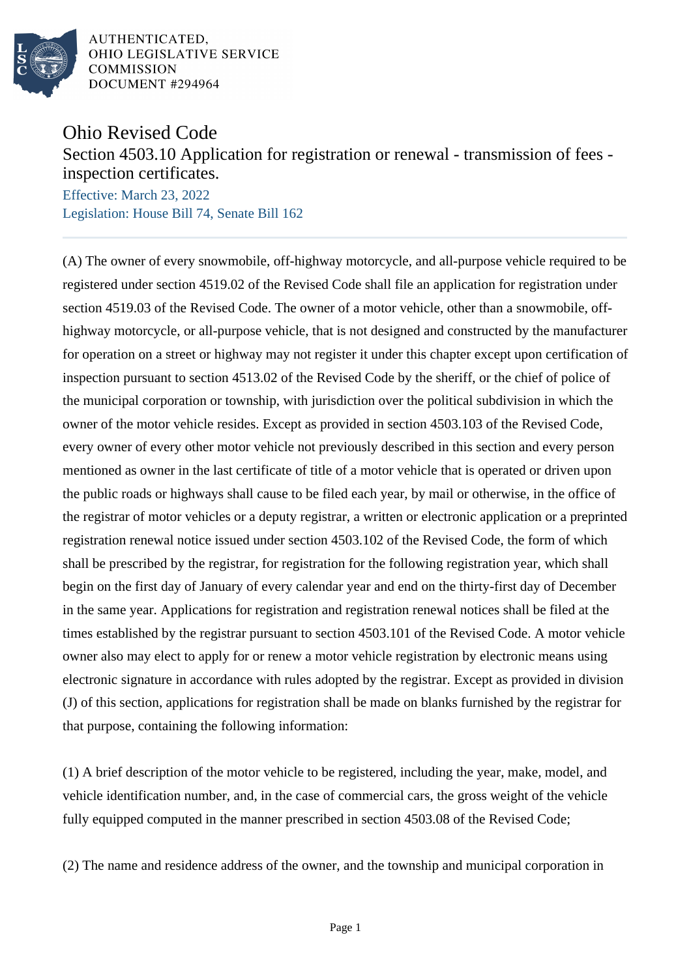

## Ohio Revised Code

Section 4503.10 Application for registration or renewal - transmission of fees inspection certificates.

Effective: March 23, 2022 Legislation: House Bill 74, Senate Bill 162

(A) The owner of every snowmobile, off-highway motorcycle, and all-purpose vehicle required to be registered under section 4519.02 of the Revised Code shall file an application for registration under section 4519.03 of the Revised Code. The owner of a motor vehicle, other than a snowmobile, offhighway motorcycle, or all-purpose vehicle, that is not designed and constructed by the manufacturer for operation on a street or highway may not register it under this chapter except upon certification of inspection pursuant to section 4513.02 of the Revised Code by the sheriff, or the chief of police of the municipal corporation or township, with jurisdiction over the political subdivision in which the owner of the motor vehicle resides. Except as provided in section 4503.103 of the Revised Code, every owner of every other motor vehicle not previously described in this section and every person mentioned as owner in the last certificate of title of a motor vehicle that is operated or driven upon the public roads or highways shall cause to be filed each year, by mail or otherwise, in the office of the registrar of motor vehicles or a deputy registrar, a written or electronic application or a preprinted registration renewal notice issued under section 4503.102 of the Revised Code, the form of which shall be prescribed by the registrar, for registration for the following registration year, which shall begin on the first day of January of every calendar year and end on the thirty-first day of December in the same year. Applications for registration and registration renewal notices shall be filed at the times established by the registrar pursuant to section 4503.101 of the Revised Code. A motor vehicle owner also may elect to apply for or renew a motor vehicle registration by electronic means using electronic signature in accordance with rules adopted by the registrar. Except as provided in division (J) of this section, applications for registration shall be made on blanks furnished by the registrar for that purpose, containing the following information:

(1) A brief description of the motor vehicle to be registered, including the year, make, model, and vehicle identification number, and, in the case of commercial cars, the gross weight of the vehicle fully equipped computed in the manner prescribed in section 4503.08 of the Revised Code;

(2) The name and residence address of the owner, and the township and municipal corporation in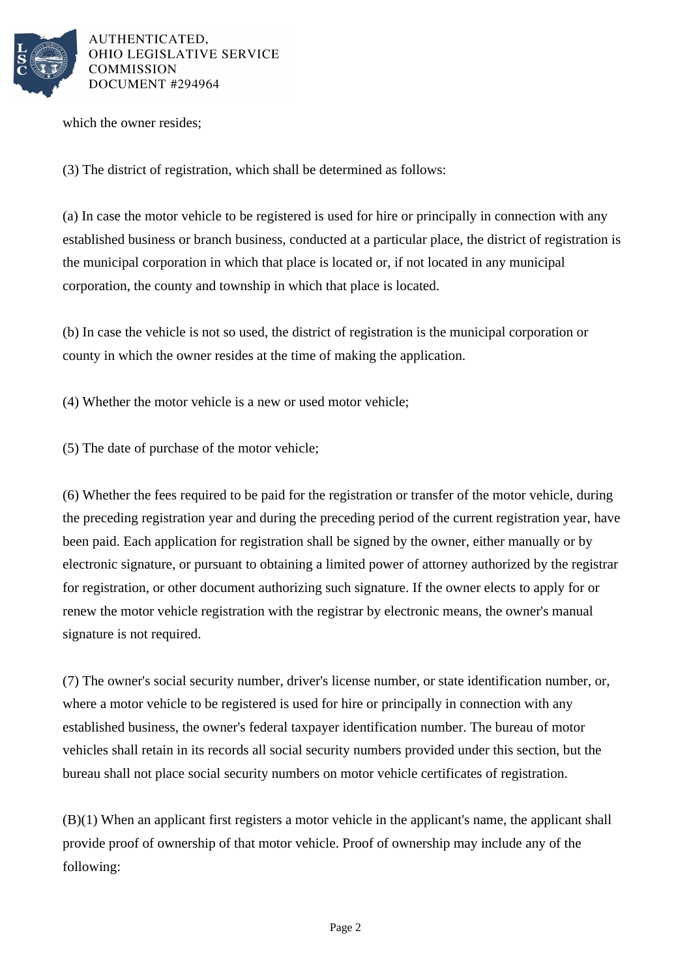

which the owner resides;

(3) The district of registration, which shall be determined as follows:

(a) In case the motor vehicle to be registered is used for hire or principally in connection with any established business or branch business, conducted at a particular place, the district of registration is the municipal corporation in which that place is located or, if not located in any municipal corporation, the county and township in which that place is located.

(b) In case the vehicle is not so used, the district of registration is the municipal corporation or county in which the owner resides at the time of making the application.

(4) Whether the motor vehicle is a new or used motor vehicle;

(5) The date of purchase of the motor vehicle;

(6) Whether the fees required to be paid for the registration or transfer of the motor vehicle, during the preceding registration year and during the preceding period of the current registration year, have been paid. Each application for registration shall be signed by the owner, either manually or by electronic signature, or pursuant to obtaining a limited power of attorney authorized by the registrar for registration, or other document authorizing such signature. If the owner elects to apply for or renew the motor vehicle registration with the registrar by electronic means, the owner's manual signature is not required.

(7) The owner's social security number, driver's license number, or state identification number, or, where a motor vehicle to be registered is used for hire or principally in connection with any established business, the owner's federal taxpayer identification number. The bureau of motor vehicles shall retain in its records all social security numbers provided under this section, but the bureau shall not place social security numbers on motor vehicle certificates of registration.

(B)(1) When an applicant first registers a motor vehicle in the applicant's name, the applicant shall provide proof of ownership of that motor vehicle. Proof of ownership may include any of the following: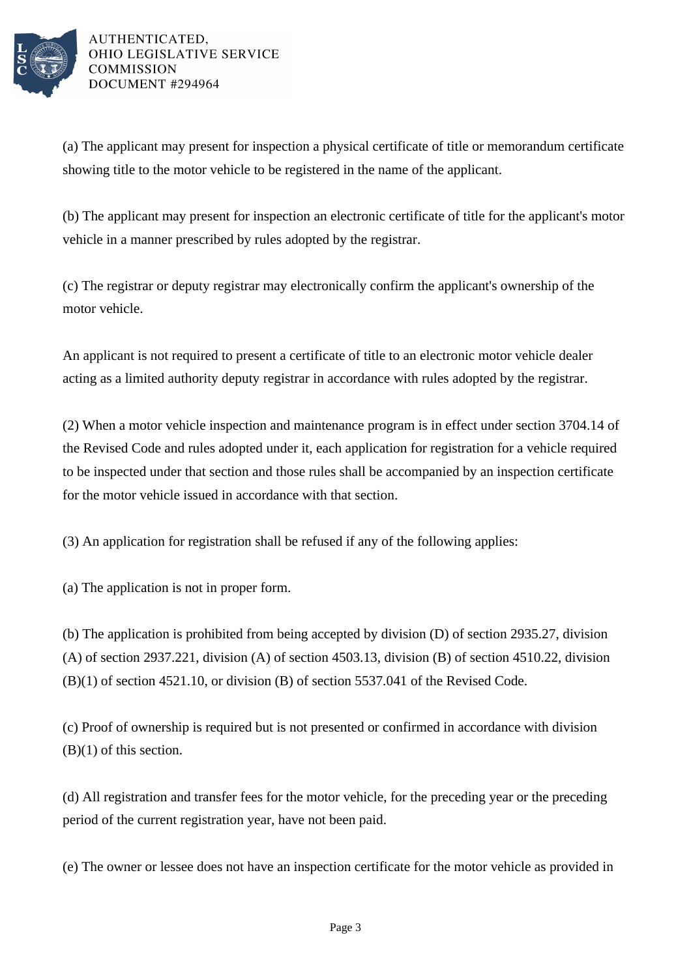

(a) The applicant may present for inspection a physical certificate of title or memorandum certificate showing title to the motor vehicle to be registered in the name of the applicant.

(b) The applicant may present for inspection an electronic certificate of title for the applicant's motor vehicle in a manner prescribed by rules adopted by the registrar.

(c) The registrar or deputy registrar may electronically confirm the applicant's ownership of the motor vehicle.

An applicant is not required to present a certificate of title to an electronic motor vehicle dealer acting as a limited authority deputy registrar in accordance with rules adopted by the registrar.

(2) When a motor vehicle inspection and maintenance program is in effect under section 3704.14 of the Revised Code and rules adopted under it, each application for registration for a vehicle required to be inspected under that section and those rules shall be accompanied by an inspection certificate for the motor vehicle issued in accordance with that section.

(3) An application for registration shall be refused if any of the following applies:

(a) The application is not in proper form.

(b) The application is prohibited from being accepted by division (D) of section 2935.27, division (A) of section 2937.221, division (A) of section 4503.13, division (B) of section 4510.22, division (B)(1) of section 4521.10, or division (B) of section 5537.041 of the Revised Code.

(c) Proof of ownership is required but is not presented or confirmed in accordance with division (B)(1) of this section.

(d) All registration and transfer fees for the motor vehicle, for the preceding year or the preceding period of the current registration year, have not been paid.

(e) The owner or lessee does not have an inspection certificate for the motor vehicle as provided in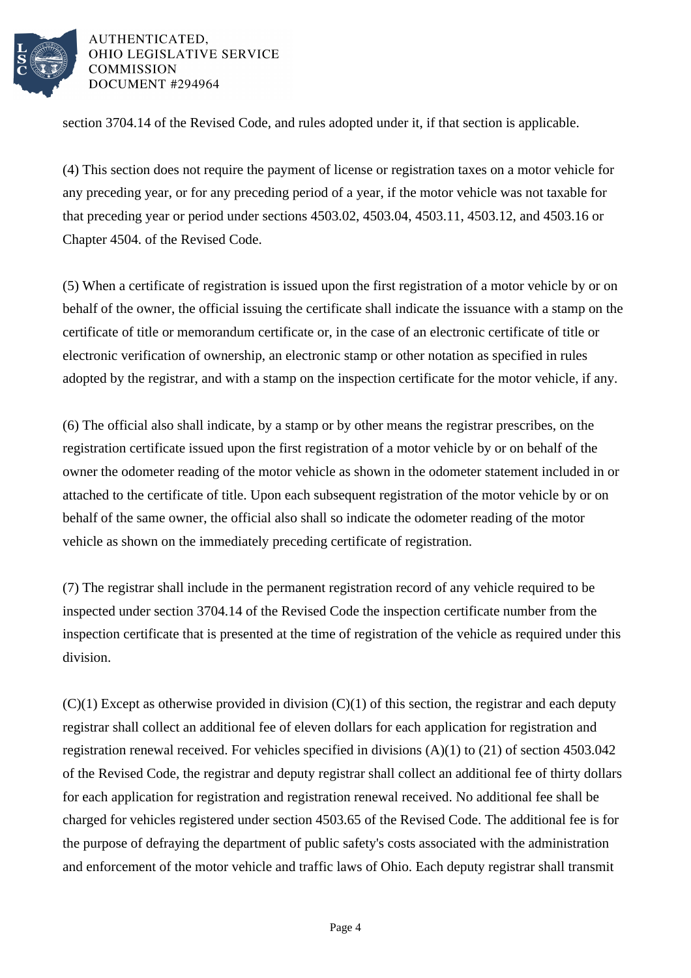

section 3704.14 of the Revised Code, and rules adopted under it, if that section is applicable.

(4) This section does not require the payment of license or registration taxes on a motor vehicle for any preceding year, or for any preceding period of a year, if the motor vehicle was not taxable for that preceding year or period under sections 4503.02, 4503.04, 4503.11, 4503.12, and 4503.16 or Chapter 4504. of the Revised Code.

(5) When a certificate of registration is issued upon the first registration of a motor vehicle by or on behalf of the owner, the official issuing the certificate shall indicate the issuance with a stamp on the certificate of title or memorandum certificate or, in the case of an electronic certificate of title or electronic verification of ownership, an electronic stamp or other notation as specified in rules adopted by the registrar, and with a stamp on the inspection certificate for the motor vehicle, if any.

(6) The official also shall indicate, by a stamp or by other means the registrar prescribes, on the registration certificate issued upon the first registration of a motor vehicle by or on behalf of the owner the odometer reading of the motor vehicle as shown in the odometer statement included in or attached to the certificate of title. Upon each subsequent registration of the motor vehicle by or on behalf of the same owner, the official also shall so indicate the odometer reading of the motor vehicle as shown on the immediately preceding certificate of registration.

(7) The registrar shall include in the permanent registration record of any vehicle required to be inspected under section 3704.14 of the Revised Code the inspection certificate number from the inspection certificate that is presented at the time of registration of the vehicle as required under this division.

 $(C)(1)$  Except as otherwise provided in division  $(C)(1)$  of this section, the registrar and each deputy registrar shall collect an additional fee of eleven dollars for each application for registration and registration renewal received. For vehicles specified in divisions (A)(1) to (21) of section 4503.042 of the Revised Code, the registrar and deputy registrar shall collect an additional fee of thirty dollars for each application for registration and registration renewal received. No additional fee shall be charged for vehicles registered under section 4503.65 of the Revised Code. The additional fee is for the purpose of defraying the department of public safety's costs associated with the administration and enforcement of the motor vehicle and traffic laws of Ohio. Each deputy registrar shall transmit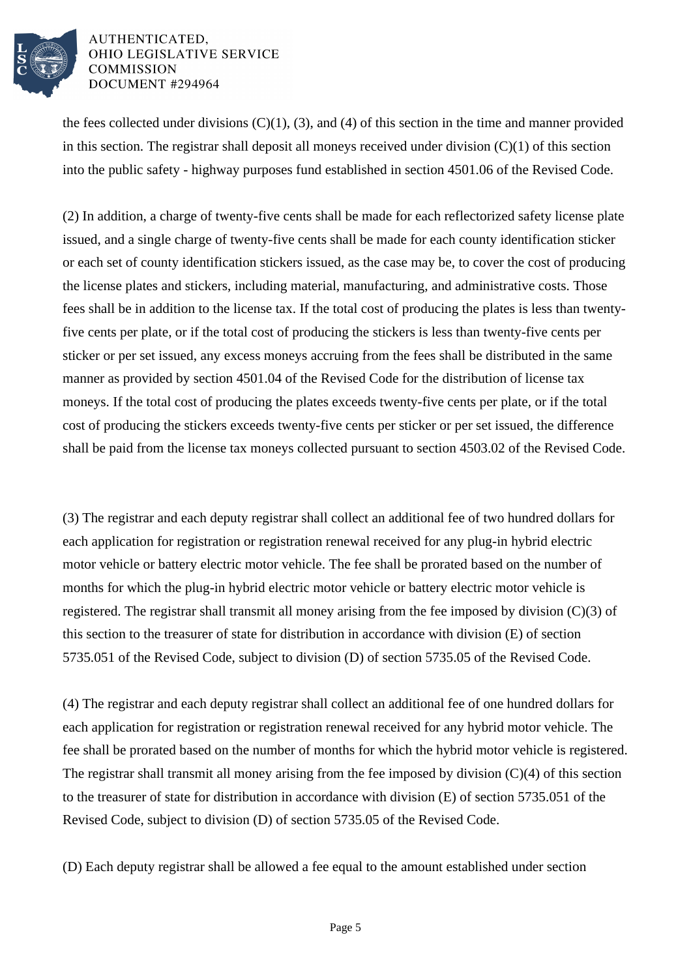

the fees collected under divisions  $(C)(1)$ ,  $(3)$ , and  $(4)$  of this section in the time and manner provided in this section. The registrar shall deposit all moneys received under division  $(C)(1)$  of this section into the public safety - highway purposes fund established in section 4501.06 of the Revised Code.

(2) In addition, a charge of twenty-five cents shall be made for each reflectorized safety license plate issued, and a single charge of twenty-five cents shall be made for each county identification sticker or each set of county identification stickers issued, as the case may be, to cover the cost of producing the license plates and stickers, including material, manufacturing, and administrative costs. Those fees shall be in addition to the license tax. If the total cost of producing the plates is less than twentyfive cents per plate, or if the total cost of producing the stickers is less than twenty-five cents per sticker or per set issued, any excess moneys accruing from the fees shall be distributed in the same manner as provided by section 4501.04 of the Revised Code for the distribution of license tax moneys. If the total cost of producing the plates exceeds twenty-five cents per plate, or if the total cost of producing the stickers exceeds twenty-five cents per sticker or per set issued, the difference shall be paid from the license tax moneys collected pursuant to section 4503.02 of the Revised Code.

(3) The registrar and each deputy registrar shall collect an additional fee of two hundred dollars for each application for registration or registration renewal received for any plug-in hybrid electric motor vehicle or battery electric motor vehicle. The fee shall be prorated based on the number of months for which the plug-in hybrid electric motor vehicle or battery electric motor vehicle is registered. The registrar shall transmit all money arising from the fee imposed by division (C)(3) of this section to the treasurer of state for distribution in accordance with division (E) of section 5735.051 of the Revised Code, subject to division (D) of section 5735.05 of the Revised Code.

(4) The registrar and each deputy registrar shall collect an additional fee of one hundred dollars for each application for registration or registration renewal received for any hybrid motor vehicle. The fee shall be prorated based on the number of months for which the hybrid motor vehicle is registered. The registrar shall transmit all money arising from the fee imposed by division  $(C)(4)$  of this section to the treasurer of state for distribution in accordance with division (E) of section 5735.051 of the Revised Code, subject to division (D) of section 5735.05 of the Revised Code.

(D) Each deputy registrar shall be allowed a fee equal to the amount established under section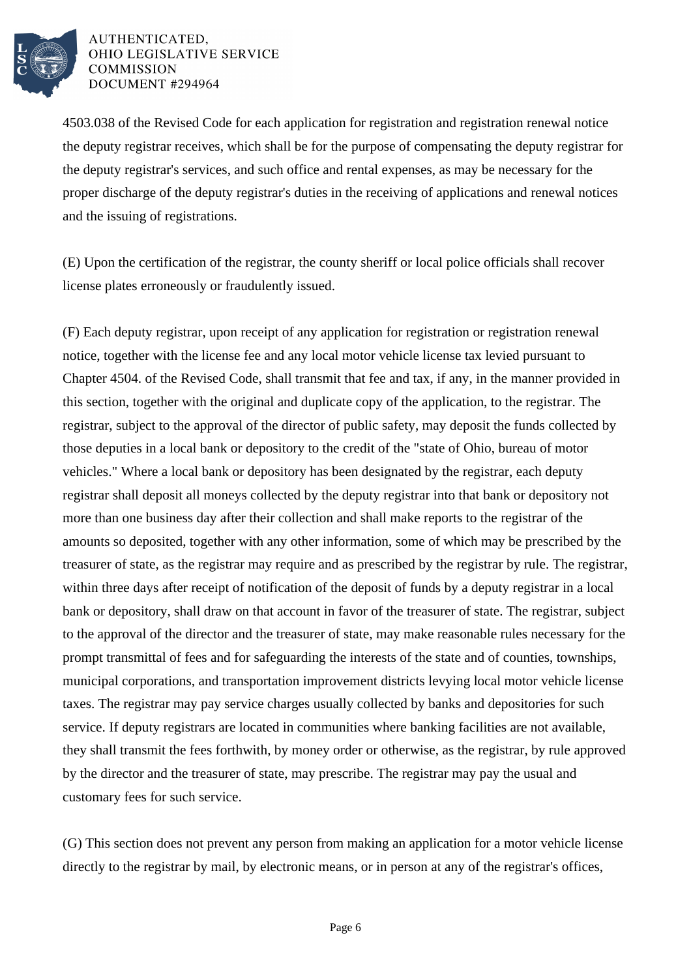

4503.038 of the Revised Code for each application for registration and registration renewal notice the deputy registrar receives, which shall be for the purpose of compensating the deputy registrar for the deputy registrar's services, and such office and rental expenses, as may be necessary for the proper discharge of the deputy registrar's duties in the receiving of applications and renewal notices and the issuing of registrations.

(E) Upon the certification of the registrar, the county sheriff or local police officials shall recover license plates erroneously or fraudulently issued.

(F) Each deputy registrar, upon receipt of any application for registration or registration renewal notice, together with the license fee and any local motor vehicle license tax levied pursuant to Chapter 4504. of the Revised Code, shall transmit that fee and tax, if any, in the manner provided in this section, together with the original and duplicate copy of the application, to the registrar. The registrar, subject to the approval of the director of public safety, may deposit the funds collected by those deputies in a local bank or depository to the credit of the "state of Ohio, bureau of motor vehicles." Where a local bank or depository has been designated by the registrar, each deputy registrar shall deposit all moneys collected by the deputy registrar into that bank or depository not more than one business day after their collection and shall make reports to the registrar of the amounts so deposited, together with any other information, some of which may be prescribed by the treasurer of state, as the registrar may require and as prescribed by the registrar by rule. The registrar, within three days after receipt of notification of the deposit of funds by a deputy registrar in a local bank or depository, shall draw on that account in favor of the treasurer of state. The registrar, subject to the approval of the director and the treasurer of state, may make reasonable rules necessary for the prompt transmittal of fees and for safeguarding the interests of the state and of counties, townships, municipal corporations, and transportation improvement districts levying local motor vehicle license taxes. The registrar may pay service charges usually collected by banks and depositories for such service. If deputy registrars are located in communities where banking facilities are not available, they shall transmit the fees forthwith, by money order or otherwise, as the registrar, by rule approved by the director and the treasurer of state, may prescribe. The registrar may pay the usual and customary fees for such service.

(G) This section does not prevent any person from making an application for a motor vehicle license directly to the registrar by mail, by electronic means, or in person at any of the registrar's offices,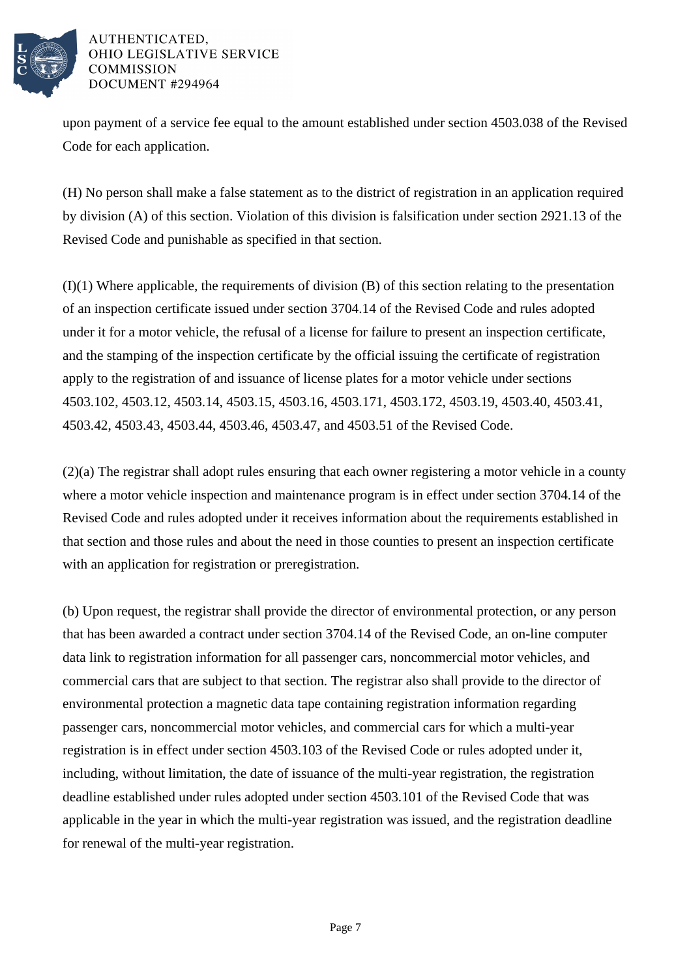

upon payment of a service fee equal to the amount established under section 4503.038 of the Revised Code for each application.

(H) No person shall make a false statement as to the district of registration in an application required by division (A) of this section. Violation of this division is falsification under section 2921.13 of the Revised Code and punishable as specified in that section.

(I)(1) Where applicable, the requirements of division (B) of this section relating to the presentation of an inspection certificate issued under section 3704.14 of the Revised Code and rules adopted under it for a motor vehicle, the refusal of a license for failure to present an inspection certificate, and the stamping of the inspection certificate by the official issuing the certificate of registration apply to the registration of and issuance of license plates for a motor vehicle under sections 4503.102, 4503.12, 4503.14, 4503.15, 4503.16, 4503.171, 4503.172, 4503.19, 4503.40, 4503.41, 4503.42, 4503.43, 4503.44, 4503.46, 4503.47, and 4503.51 of the Revised Code.

(2)(a) The registrar shall adopt rules ensuring that each owner registering a motor vehicle in a county where a motor vehicle inspection and maintenance program is in effect under section 3704.14 of the Revised Code and rules adopted under it receives information about the requirements established in that section and those rules and about the need in those counties to present an inspection certificate with an application for registration or preregistration.

(b) Upon request, the registrar shall provide the director of environmental protection, or any person that has been awarded a contract under section 3704.14 of the Revised Code, an on-line computer data link to registration information for all passenger cars, noncommercial motor vehicles, and commercial cars that are subject to that section. The registrar also shall provide to the director of environmental protection a magnetic data tape containing registration information regarding passenger cars, noncommercial motor vehicles, and commercial cars for which a multi-year registration is in effect under section 4503.103 of the Revised Code or rules adopted under it, including, without limitation, the date of issuance of the multi-year registration, the registration deadline established under rules adopted under section 4503.101 of the Revised Code that was applicable in the year in which the multi-year registration was issued, and the registration deadline for renewal of the multi-year registration.